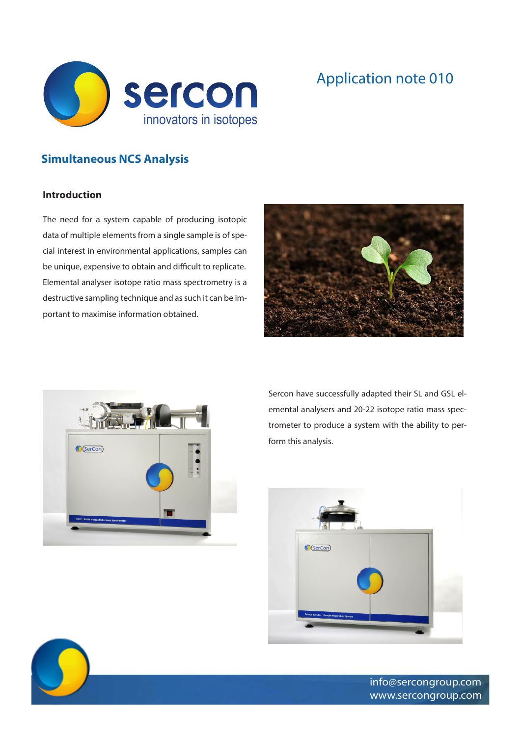

## Application note 010

## **Simultaneous NCS Analysis**

## **Introduction**

The need for a system capable of producing isotopic data of multiple elements from a single sample is of special interest in environmental applications, samples can be unique, expensive to obtain and difficult to replicate. Elemental analyser isotope ratio mass spectrometry is a destructive sampling technique and as such it can be important to maximise information obtained.





Sercon have successfully adapted their SL and GSL elemental analysers and 20-22 isotope ratio mass spectrometer to produce a system with the ability to perform this analysis.





info@sercongroup.com www.sercongroup.com